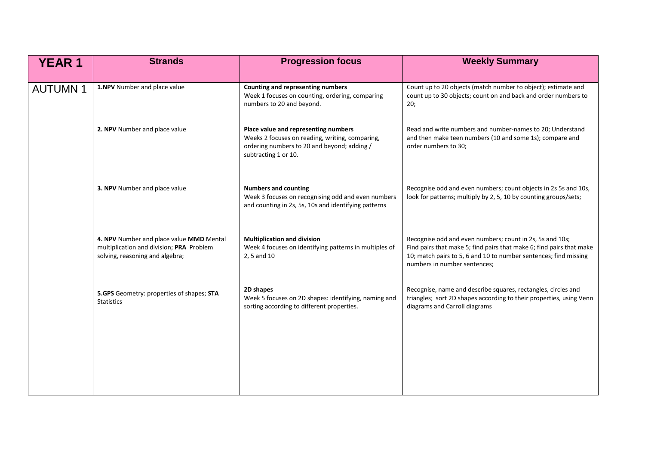| <b>YEAR 1</b>  | <b>Strands</b>                                                                                                          | <b>Progression focus</b>                                                                                                                                       | <b>Weekly Summary</b>                                                                                                                                                                                                                |
|----------------|-------------------------------------------------------------------------------------------------------------------------|----------------------------------------------------------------------------------------------------------------------------------------------------------------|--------------------------------------------------------------------------------------------------------------------------------------------------------------------------------------------------------------------------------------|
| <b>AUTUMN1</b> | 1.NPV Number and place value                                                                                            | Counting and representing numbers<br>Week 1 focuses on counting, ordering, comparing<br>numbers to 20 and beyond.                                              | Count up to 20 objects (match number to object); estimate and<br>count up to 30 objects; count on and back and order numbers to<br>20;                                                                                               |
|                | 2. NPV Number and place value                                                                                           | Place value and representing numbers<br>Weeks 2 focuses on reading, writing, comparing,<br>ordering numbers to 20 and beyond; adding /<br>subtracting 1 or 10. | Read and write numbers and number-names to 20; Understand<br>and then make teen numbers (10 and some 1s); compare and<br>order numbers to 30;                                                                                        |
|                | 3. NPV Number and place value                                                                                           | <b>Numbers and counting</b><br>Week 3 focuses on recognising odd and even numbers<br>and counting in 2s, 5s, 10s and identifying patterns                      | Recognise odd and even numbers; count objects in 2s 5s and 10s,<br>look for patterns; multiply by 2, 5, 10 by counting groups/sets;                                                                                                  |
|                | 4. NPV Number and place value MMD Mental<br>multiplication and division; PRA Problem<br>solving, reasoning and algebra; | <b>Multiplication and division</b><br>Week 4 focuses on identifying patterns in multiples of<br>2, 5 and 10                                                    | Recognise odd and even numbers; count in 2s, 5s and 10s;<br>Find pairs that make 5; find pairs that make 6; find pairs that make<br>10; match pairs to 5, 6 and 10 to number sentences; find missing<br>numbers in number sentences; |
|                | 5.GPS Geometry: properties of shapes; STA<br><b>Statistics</b>                                                          | 2D shapes<br>Week 5 focuses on 2D shapes: identifying, naming and<br>sorting according to different properties.                                                | Recognise, name and describe squares, rectangles, circles and<br>triangles; sort 2D shapes according to their properties, using Venn<br>diagrams and Carroll diagrams                                                                |
|                |                                                                                                                         |                                                                                                                                                                |                                                                                                                                                                                                                                      |
|                |                                                                                                                         |                                                                                                                                                                |                                                                                                                                                                                                                                      |